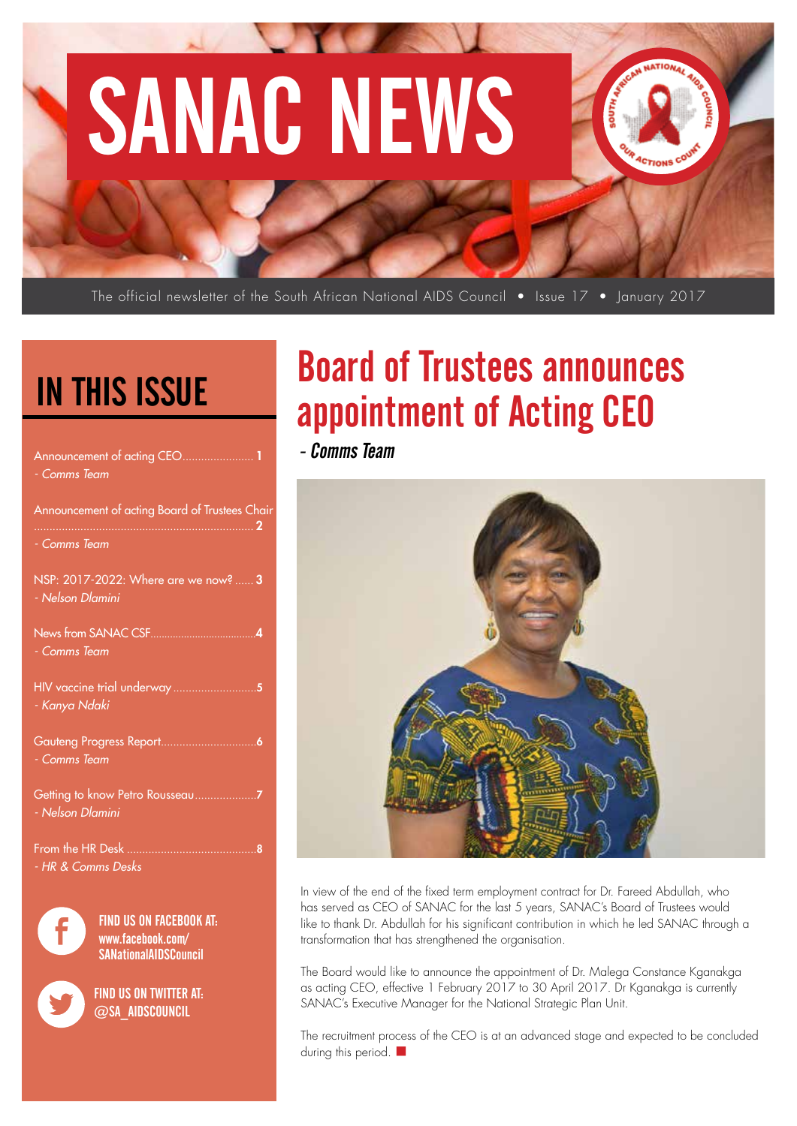# SANAC NEWS

The official newsletter of the South African National AIDS Council • Issue 17 • Ianuary 2017

# IN THIS ISSUE

| Announcement of acting CEO<br>- Comms Team                                          |
|-------------------------------------------------------------------------------------|
| Announcement of acting Board of Trustees Chair                                      |
| - Comms Team                                                                        |
| NSP: 2017-2022: Where are we now?  3<br>- Nelson Dlamini                            |
| - Comms Team                                                                        |
| - Kanya Ndaki                                                                       |
| Gauteng Progress Report<br>. 6<br>- Comms Team                                      |
| - Nelson Dlamini                                                                    |
| From the HR Desk<br>- HR & Comms Desks                                              |
| <b>FIND US ON FACEBOOK AT:</b><br>www.facebook.com/<br><b>SANationalAIDSCouncil</b> |

FIND US ON TWITTER AT:  $\varpi$ SA AIDSCOUNCIL

# Board of Trustees announces appointment of Acting CEO

**ACTIONS** 

- Comms Team



In view of the end of the fixed term employment contract for Dr. Fareed Abdullah, who has served as CEO of SANAC for the last 5 years, SANAC's Board of Trustees would like to thank Dr. Abdullah for his significant contribution in which he led SANAC through a transformation that has strengthened the organisation.

The Board would like to announce the appointment of Dr. Malega Constance Kganakga as acting CEO, effective 1 February 2017 to 30 April 2017. Dr Kganakga is currently SANAC's Executive Manager for the National Strategic Plan Unit.

The recruitment process of the CEO is at an advanced stage and expected to be concluded during this period.  $\blacksquare$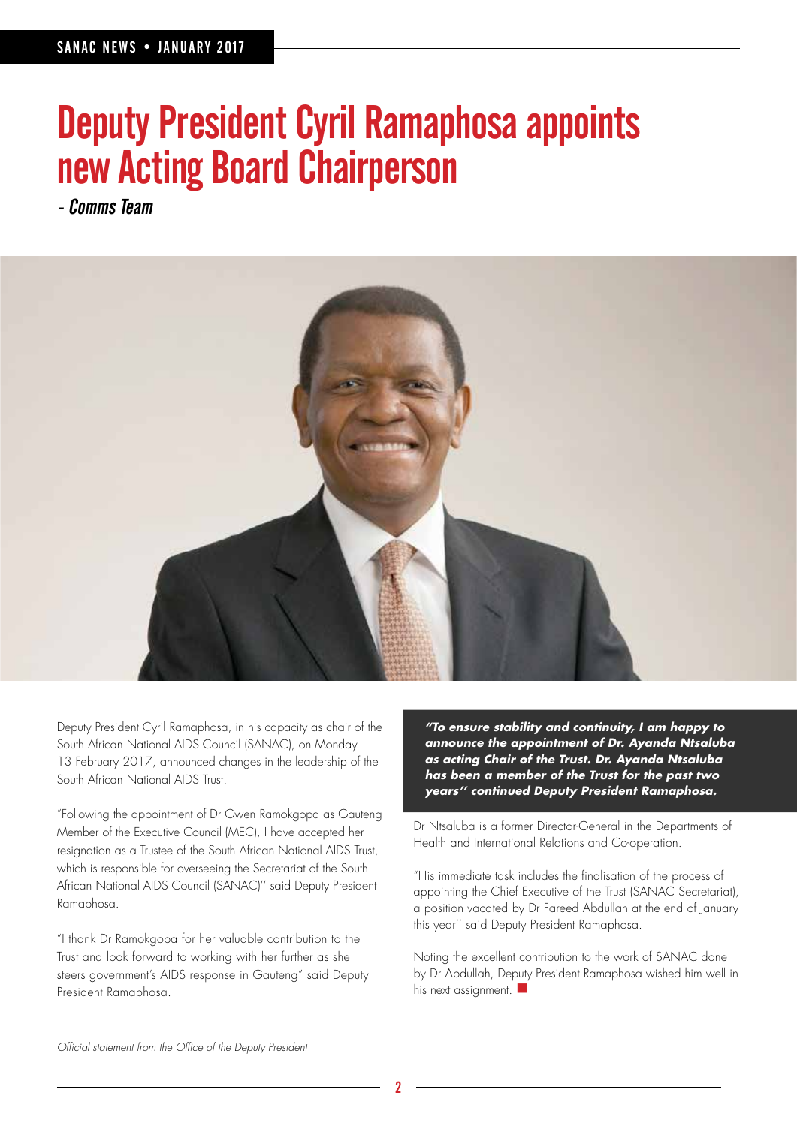# Deputy President Cyril Ramaphosa appoints new Acting Board Chairperson

- Comms Team



Deputy President Cyril Ramaphosa, in his capacity as chair of the South African National AIDS Council (SANAC), on Monday 13 February 2017, announced changes in the leadership of the South African National AIDS Trust.

"Following the appointment of Dr Gwen Ramokgopa as Gauteng Member of the Executive Council (MEC), I have accepted her resignation as a Trustee of the South African National AIDS Trust, which is responsible for overseeing the Secretariat of the South African National AIDS Council (SANAC)'' said Deputy President Ramaphosa.

"I thank Dr Ramokgopa for her valuable contribution to the Trust and look forward to working with her further as she steers government's AIDS response in Gauteng" said Deputy President Ramaphosa.

**"To ensure stability and continuity, I am happy to announce the appointment of Dr. Ayanda Ntsaluba as acting Chair of the Trust. Dr. Ayanda Ntsaluba has been a member of the Trust for the past two years'' continued Deputy President Ramaphosa.**

Dr Ntsaluba is a former Director-General in the Departments of Health and International Relations and Co-operation.

"His immediate task includes the finalisation of the process of appointing the Chief Executive of the Trust (SANAC Secretariat), a position vacated by Dr Fareed Abdullah at the end of January this year'' said Deputy President Ramaphosa.

Noting the excellent contribution to the work of SANAC done by Dr Abdullah, Deputy President Ramaphosa wished him well in his next assignment.  $\blacksquare$ 

Official statement from the Office of the Deputy President

2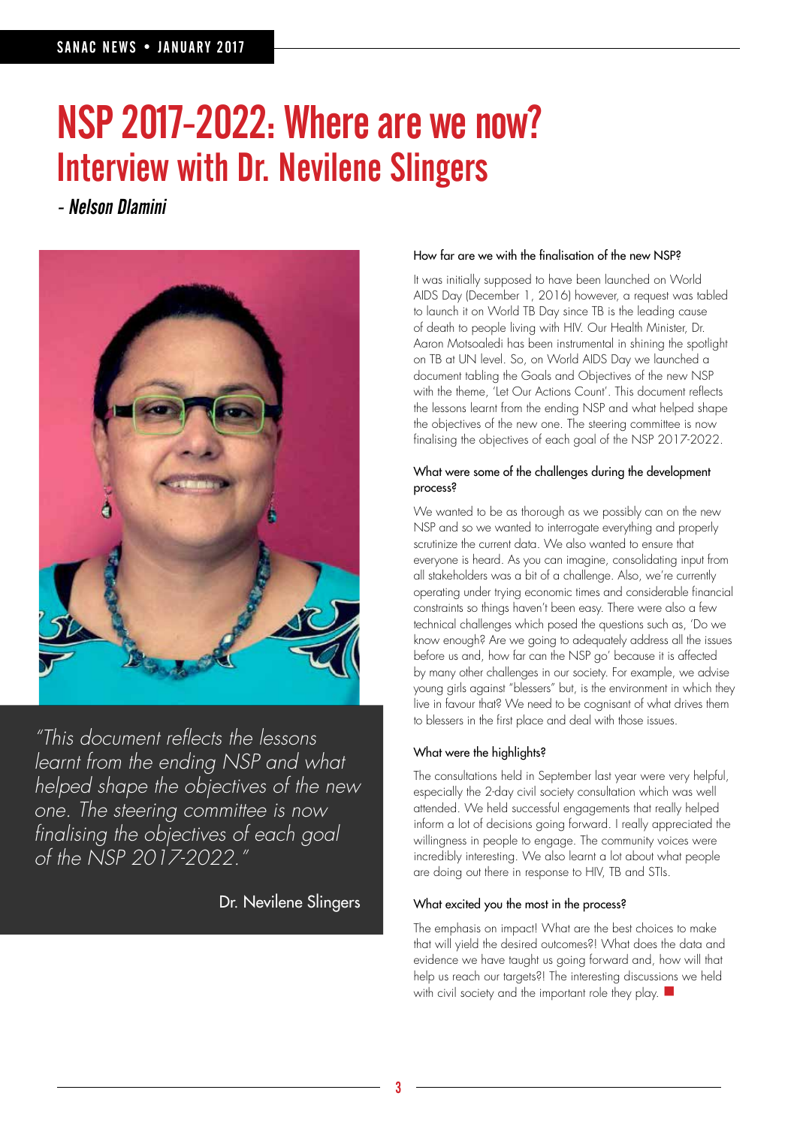# NSP 2017-2022: Where are we now? Interview with Dr. Nevilene Slingers

- Nelson Dlamini



"This document reflects the lessons learnt from the ending NSP and what helped shape the objectives of the new one. The steering committee is now finalising the objectives of each goal of the NSP 2017-2022."

Dr. Nevilene Slingers

### How far are we with the finalisation of the new NSP?

It was initially supposed to have been launched on World AIDS Day (December 1, 2016) however, a request was tabled to launch it on World TB Day since TB is the leading cause of death to people living with HIV. Our Health Minister, Dr. Aaron Motsoaledi has been instrumental in shining the spotlight on TB at UN level. So, on World AIDS Day we launched a document tabling the Goals and Objectives of the new NSP with the theme, 'Let Our Actions Count'. This document reflects the lessons learnt from the ending NSP and what helped shape the objectives of the new one. The steering committee is now finalising the objectives of each goal of the NSP 2017-2022.

### What were some of the challenges during the development process?

We wanted to be as thorough as we possibly can on the new NSP and so we wanted to interrogate everything and properly scrutinize the current data. We also wanted to ensure that everyone is heard. As you can imagine, consolidating input from all stakeholders was a bit of a challenge. Also, we're currently operating under trying economic times and considerable financial constraints so things haven't been easy. There were also a few technical challenges which posed the questions such as, 'Do we know enough? Are we going to adequately address all the issues before us and, how far can the NSP go' because it is affected by many other challenges in our society. For example, we advise young girls against "blessers" but, is the environment in which they live in favour that? We need to be cognisant of what drives them to blessers in the first place and deal with those issues.

### What were the highlights?

The consultations held in September last year were very helpful, especially the 2-day civil society consultation which was well attended. We held successful engagements that really helped inform a lot of decisions going forward. I really appreciated the willingness in people to engage. The community voices were incredibly interesting. We also learnt a lot about what people are doing out there in response to HIV, TB and STIs.

### What excited you the most in the process?

The emphasis on impact! What are the best choices to make that will yield the desired outcomes?! What does the data and evidence we have taught us going forward and, how will that help us reach our targets?! The interesting discussions we held with civil society and the important role they play.  $\blacksquare$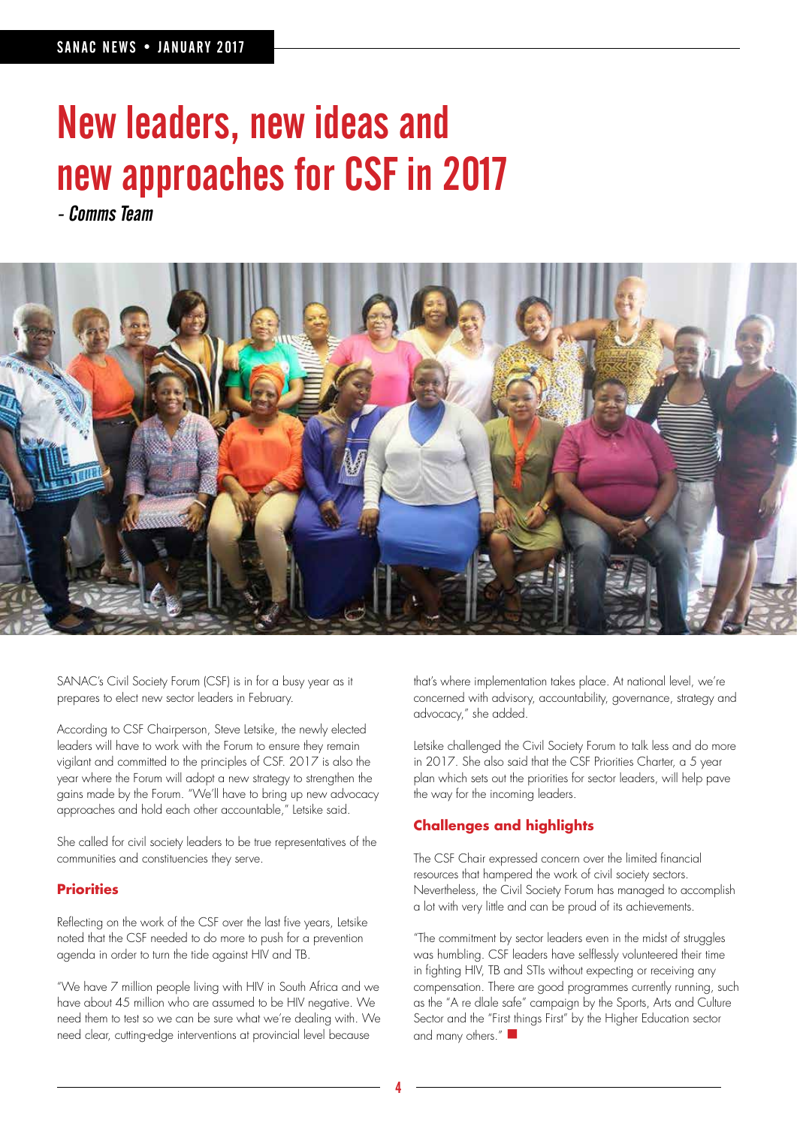# New leaders, new ideas and new approaches for CSF in 2017

- Comms Team



SANAC's Civil Society Forum (CSF) is in for a busy year as it prepares to elect new sector leaders in February.

According to CSF Chairperson, Steve Letsike, the newly elected leaders will have to work with the Forum to ensure they remain vigilant and committed to the principles of CSF. 2017 is also the year where the Forum will adopt a new strategy to strengthen the gains made by the Forum. "We'll have to bring up new advocacy approaches and hold each other accountable," Letsike said.

She called for civil society leaders to be true representatives of the communities and constituencies they serve.

### **Priorities**

Reflecting on the work of the CSF over the last five years, Letsike noted that the CSF needed to do more to push for a prevention agenda in order to turn the tide against HIV and TB.

"We have 7 million people living with HIV in South Africa and we have about 45 million who are assumed to be HIV negative. We need them to test so we can be sure what we're dealing with. We need clear, cutting-edge interventions at provincial level because

that's where implementation takes place. At national level, we're concerned with advisory, accountability, governance, strategy and advocacy," she added.

Letsike challenged the Civil Society Forum to talk less and do more in 2017. She also said that the CSF Priorities Charter, a 5 year plan which sets out the priorities for sector leaders, will help pave the way for the incoming leaders.

### **Challenges and highlights**

The CSF Chair expressed concern over the limited financial resources that hampered the work of civil society sectors. Nevertheless, the Civil Society Forum has managed to accomplish a lot with very little and can be proud of its achievements.

"The commitment by sector leaders even in the midst of struggles was humbling. CSF leaders have selflessly volunteered their time in fighting HIV, TB and STIs without expecting or receiving any compensation. There are good programmes currently running, such as the "A re dlale safe" campaign by the Sports, Arts and Culture Sector and the "First things First" by the Higher Education sector and many others."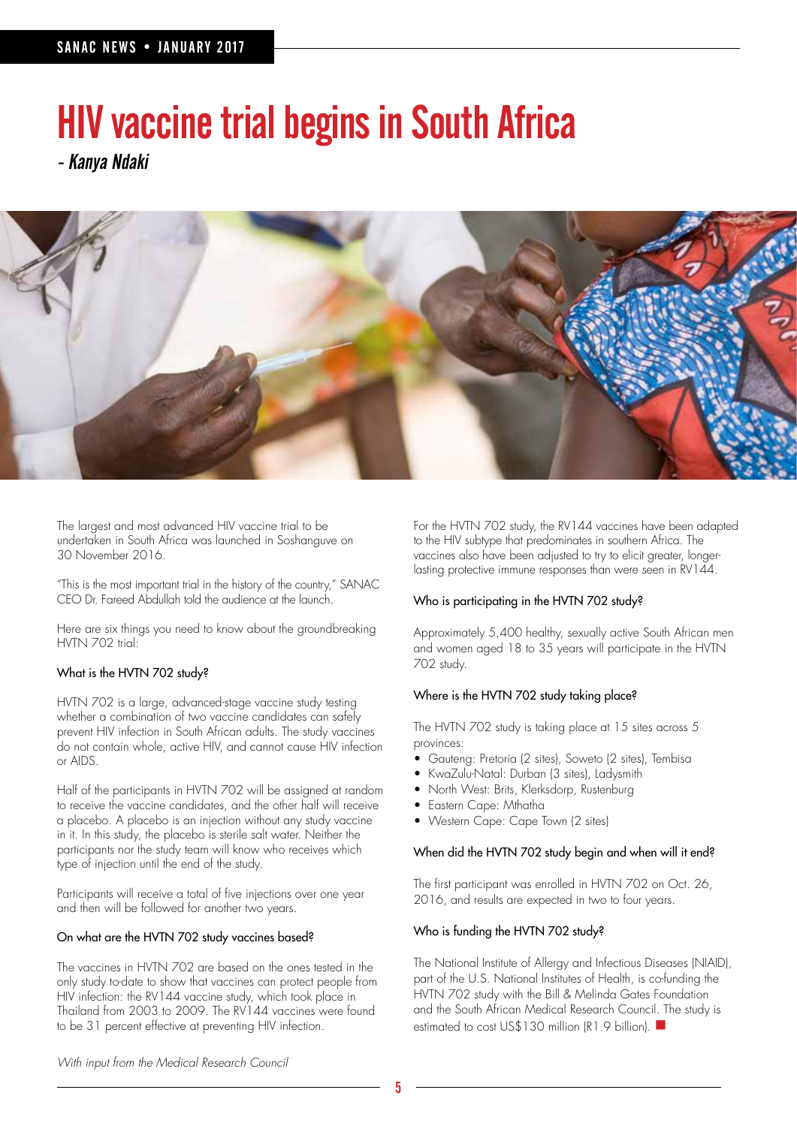# HIV vaccine trial begins in South Africa

- Kanya Ndaki



The largest and most advanced HIV vaccine trial to be undertaken in South Africa was launched in Soshanguve on 30 November 2016.

"This is the most important trial in the history of the country," SANAC CEO Dr. Fareed Abdullah told the audience at the launch.

Here are six things you need to know about the groundbreaking HVTN 702 trial:

### What is the HVTN 702 study?

HVTN 702 is a large, advanced-stage vaccine study testing whether a combination of two vaccine candidates can safely prevent HIV infection in South African adults. The study vaccines do not contain whole, active HIV, and cannot cause HIV infection or AIDS.

Half of the participants in HVTN 702 will be assigned at random to receive the vaccine candidates, and the other half will receive a placebo. A placebo is an injection without any study vaccine in it. In this study, the placebo is sterile salt water. Neither the participants nor the study team will know who receives which type of injection until the end of the study.

Participants will receive a total of five injections over one year and then will be followed for another two years.

### On what are the HVTN 702 study vaccines based?

The vaccines in HVTN 702 are based on the ones tested in the only study to-date to show that vaccines can protect people from HIV infection: the RV144 vaccine study, which took place in Thailand from 2003 to 2009. The RV144 vaccines were found to be 31 percent effective at preventing HIV infection.

For the HVTN 702 study, the RV144 vaccines have been adapted to the HIV subtype that predominates in southern Africa. The vaccines also have been adjusted to try to elicit greater, longerlasting protective immune responses than were seen in RV144.

### Who is participating in the HVTN 702 study?

Approximately 5,400 healthy, sexually active South African men and women aged 18 to 35 years will participate in the HVTN 702 study.

### Where is the HVTN 702 study taking place?

The HVTN 702 study is taking place at 15 sites across 5 provinces:

- Gauteng: Pretoria (2 sites), Soweto (2 sites), Tembisa
- KwaZulu-Natal: Durban (3 sites), Ladysmith
- North West: Brits, Klerksdorp, Rustenburg
- Eastern Cape: Mthatha
- Western Cape: Cape Town (2 sites)

### When did the HVTN 702 study begin and when will it end?

The first participant was enrolled in HVTN 702 on Oct. 26, 2016, and results are expected in two to four years.

### Who is funding the HVTN 702 study?

The National Institute of Allergy and Infectious Diseases (NIAID), part of the U.S. National Institutes of Health, is co-funding the HVTN 702 study with the Bill & Melinda Gates Foundation and the South African Medical Research Council. The study is estimated to cost US\$130 million (R1.9 billion). ■

With input from the Medical Research Council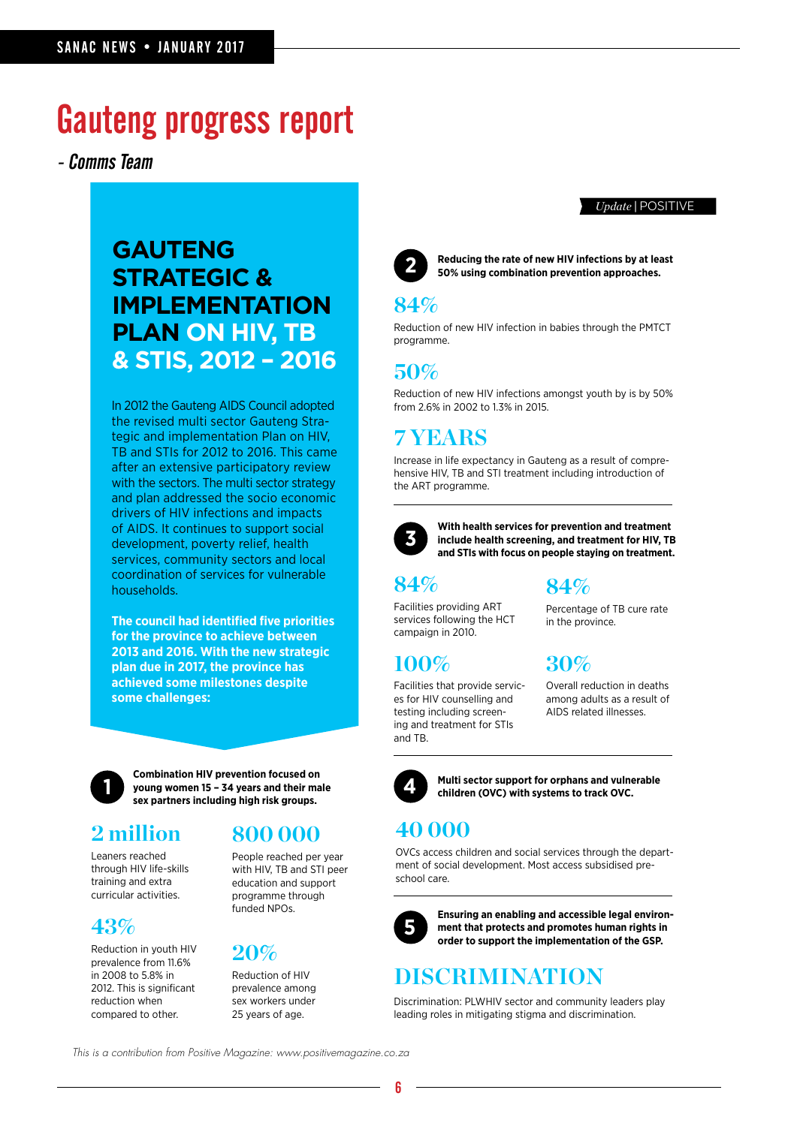## Gauteng progress report

- Comms Team

### **GAUTENG STRATEGIC & IMPLEMENTATION PLAN ON HIV, TB & STIS, 2012 – 2016**

In 2012 the Gauteng AIDS Council adopted the revised multi sector Gauteng Strategic and implementation Plan on HIV, TB and STIs for 2012 to 2016. This came after an extensive participatory review with the sectors. The multi sector strategy and plan addressed the socio economic drivers of HIV infections and impacts of AIDS. It continues to support social development, poverty relief, health services, community sectors and local coordination of services for vulnerable households.

**The council had identified five priorities for the province to achieve between 2013 and 2016. With the new strategic plan due in 2017, the province has achieved some milestones despite some challenges:**



**Combination HIV prevention focused on young women 15 – 34 years and their male sex partners including high risk groups.**

Leaners reached through HIV life-skills training and extra curricular activities.

### **43%**

Reduction in youth HIV prevalence from 11.6% in 2008 to 5.8% in 2012. This is significant reduction when compared to other.

### **2 million 800 000**

People reached per year with HIV, TB and STI peer education and support programme through funded NPOs.

### **20%**

Reduction of HIV prevalence among sex workers under 25 years of age.



**Reducing the rate of new HIV infections by at least 2 50% using combination prevention approaches.** 

### **84%**

Reduction of new HIV infection in babies through the PMTCT programme.

### **50%**

Reduction of new HIV infections amongst youth by is by 50% from 2.6% in 2002 to 1.3% in 2015.

### **7 YEARS**

Increase in life expectancy in Gauteng as a result of comprehensive HIV, TB and STI treatment including introduction of the ART programme.



**With health services for prevention and treatment include health screening, and treatment for HIV, TB and STIs with focus on people staying on treatment.**

### **84%**

Facilities providing ART services following the HCT campaign in 2010.

### **100%**

Facilities that provide services for HIV counselling and testing including screening and treatment for STIs and TB.

### **30%**

**84%**

in the province.

Overall reduction in deaths among adults as a result of AIDS related illnesses.

Percentage of TB cure rate



**Multi sector support for orphans and vulnerable 4 children (OVC) with systems to track OVC.**

### **40 000**

OVCs access children and social services through the department of social development. Most access subsidised preschool care.



**Ensuring an enabling and accessible legal environment that protects and promotes human rights in order to support the implementation of the GSP.**

### **DISCRIMINATION**

Discrimination: PLWHIV sector and community leaders play leading roles in mitigating stigma and discrimination.

This is a contribution from Positive Magazine: www.positivemagazine.co.za

### *Update* | POSITIVE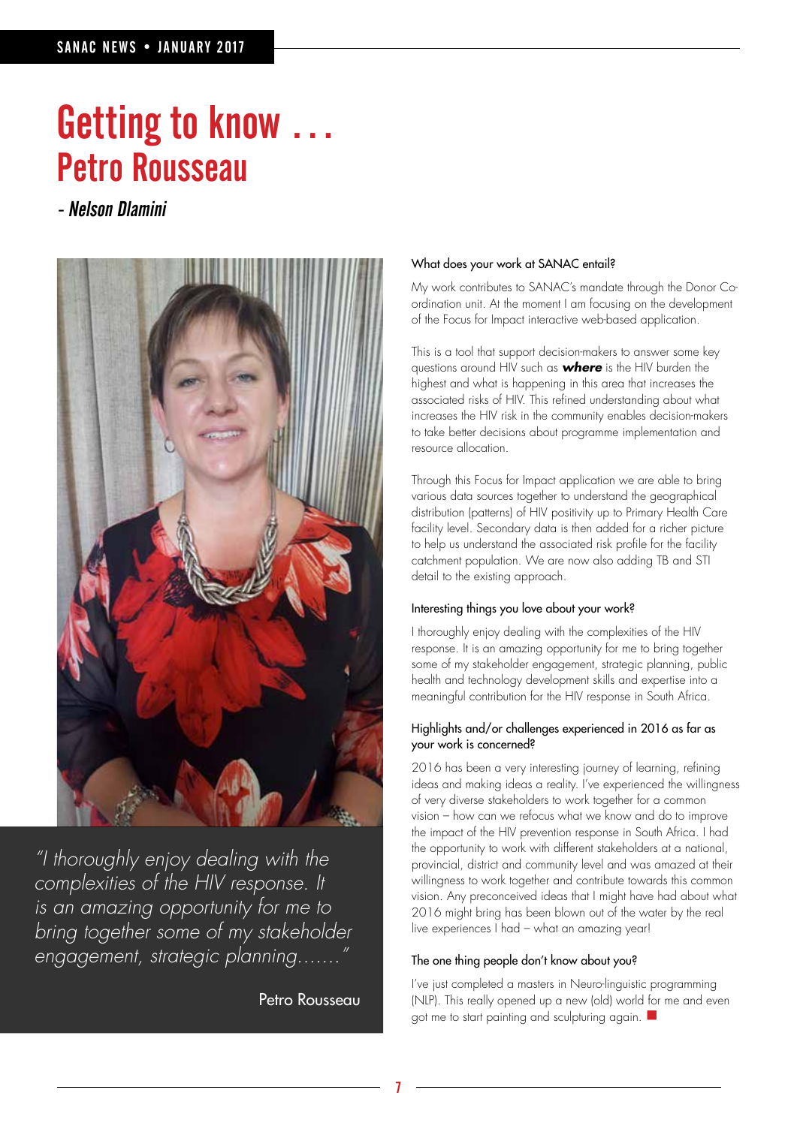# Getting to know … Petro Rousseau

- Nelson Dlamini



"I thoroughly enjoy dealing with the complexities of the HIV response. It is an amazing opportunity for me to bring together some of my stakeholder engagement, strategic planning......."

Petro Rousseau

### What does your work at SANAC entail?

My work contributes to SANAC's mandate through the Donor Coordination unit. At the moment I am focusing on the development of the Focus for Impact interactive web-based application.

This is a tool that support decision-makers to answer some key questions around HIV such as **where** is the HIV burden the highest and what is happening in this area that increases the associated risks of HIV. This refined understanding about what increases the HIV risk in the community enables decision-makers to take better decisions about programme implementation and resource allocation.

Through this Focus for Impact application we are able to bring various data sources together to understand the geographical distribution (patterns) of HIV positivity up to Primary Health Care facility level. Secondary data is then added for a richer picture to help us understand the associated risk profile for the facility catchment population. We are now also adding TB and STI detail to the existing approach.

### Interesting things you love about your work?

I thoroughly enjoy dealing with the complexities of the HIV response. It is an amazing opportunity for me to bring together some of my stakeholder engagement, strategic planning, public health and technology development skills and expertise into a meaningful contribution for the HIV response in South Africa.

### Highlights and/or challenges experienced in 2016 as far as your work is concerned?

2016 has been a very interesting journey of learning, refining ideas and making ideas a reality. I've experienced the willingness of very diverse stakeholders to work together for a common vision – how can we refocus what we know and do to improve the impact of the HIV prevention response in South Africa. I had the opportunity to work with different stakeholders at a national, provincial, district and community level and was amazed at their willingness to work together and contribute towards this common vision. Any preconceived ideas that I might have had about what 2016 might bring has been blown out of the water by the real live experiences I had – what an amazing year!

### The one thing people don't know about you?

I've just completed a masters in Neuro-linguistic programming (NLP). This really opened up a new (old) world for me and even got me to start painting and sculpturing again.  $\blacksquare$